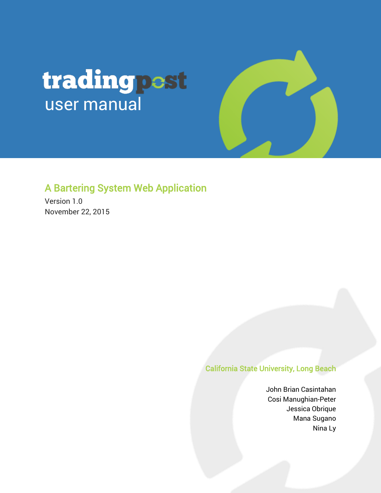# tradingpest user manual

### A Bartering System Web Application

Version 1.0 November 22, 2015

#### California State University, Long Beach

John Brian Casintahan Cosi Manughian-Peter Jessica Obrique Mana Sugano Nina Ly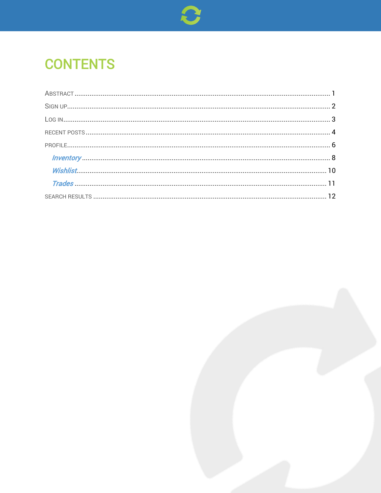

# **CONTENTS**

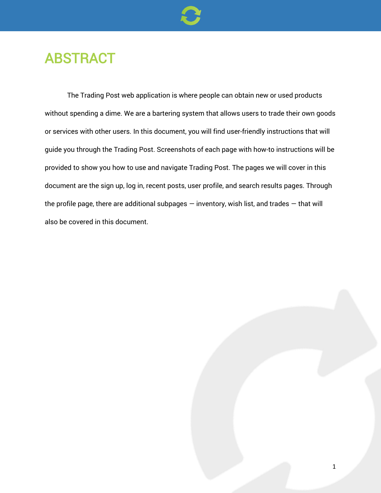

### ABSTRACT

The Trading Post web application is where people can obtain new or used products without spending a dime. We are a bartering system that allows users to trade their own goods or services with other users. In this document, you will find user-friendly instructions that will guide you through the Trading Post. Screenshots of each page with how-to instructions will be provided to show you how to use and navigate Trading Post. The pages we will cover in this document are the sign up, log in, recent posts, user profile, and search results pages. Through the profile page, there are additional subpages  $-$  inventory, wish list, and trades  $-$  that will also be covered in this document.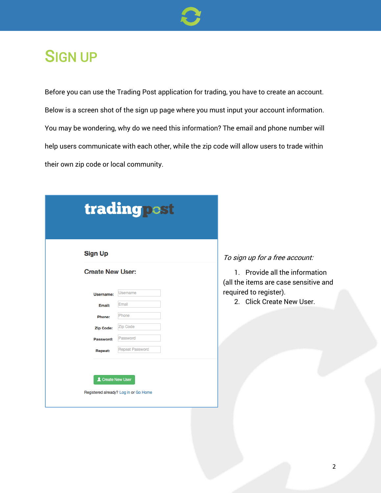

## SIGN UP

Before you can use the Trading Post application for trading, you have to create an account. Below is a screen shot of the sign up page where you must input your account information. You may be wondering, why do we need this information? The email and phone number will help users communicate with each other, while the zip code will allow users to trade within their own zip code or local community.

| <b>Sign Up</b>          |                 |  |
|-------------------------|-----------------|--|
| <b>Create New User:</b> |                 |  |
| Username:               | <b>Username</b> |  |
| Email:                  | Email           |  |
| Phone:                  | Phone           |  |
| Zip Code:               | Zip Code        |  |
| Password:               | Password        |  |
| Repeat:                 | Repeat Password |  |

#### sign up for a free account:

1. Provide all the information the items are case sensitive and uired to register).

2. Click Create New User.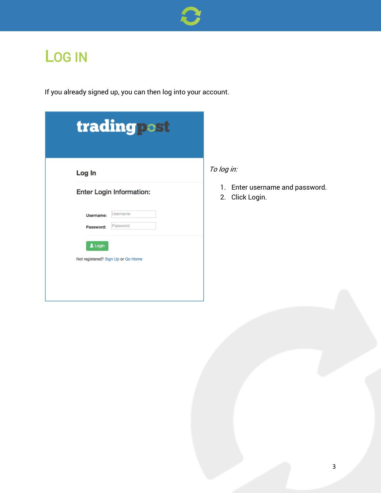

## LOG IN

If you already signed up, you can then log into your account.

| Log In    |                                    |  |
|-----------|------------------------------------|--|
|           | <b>Enter Login Information:</b>    |  |
| Username: | Username                           |  |
| Password: | Password                           |  |
| $2$ Login |                                    |  |
|           | Not registered? Sign Up or Go Home |  |

1. Enter username and password.

2. Click Login.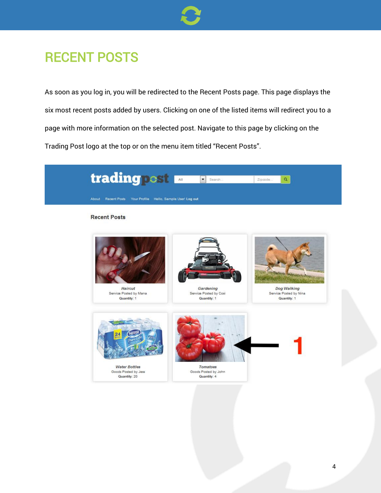

### RECENT POSTS

As soon as you log in, you will be redirected to the Recent Posts page. This page displays the six most recent posts added by users. Clicking on one of the listed items will redirect you to a page with more information on the selected post. Navigate to this page by clicking on the Trading Post logo at the top or on the menu item titled "Recent Posts".

| trading post                                                | $\overline{\phantom{a}}$<br>Search                 | $\mathbf{Q}_i$<br>Zipcode                            |
|-------------------------------------------------------------|----------------------------------------------------|------------------------------------------------------|
| About Recent Posts Your Profile Hello, Sample User! Log out |                                                    |                                                      |
| <b>Recent Posts</b>                                         |                                                    |                                                      |
| Haircut<br>Service Posted by Mana<br>Quantity: 1            | Gardening<br>Service Posted by Cosi<br>Quantity: 1 | Dog Walking<br>Service Posted by Nina<br>Quantity: 1 |
| <b>Water Bottles</b><br>Goods Posted by Jess                | <b>Tomatoes</b><br>Goods Posted by John            |                                                      |
| Quantity: 20                                                | Quantity: 4                                        |                                                      |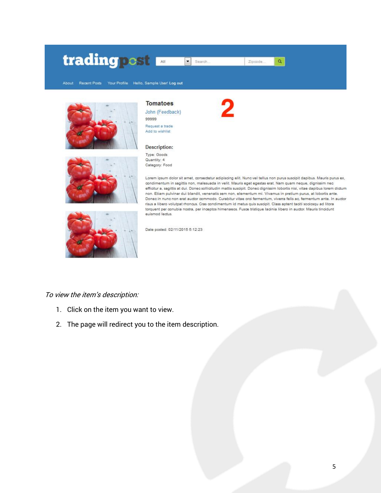#### trading post  $\sqrt{\bullet}$  Search... Zipcode...  $\alpha$







**Tomatoes** 

John (Feedback) 99999 Request a trade

**Description:** 

Add to wishlist

Type: Goods

Quantity: 4 Category: Food

Lorem ipsum dolor sit amet, consectetur adipiscing elit. Nunc vel tellus non purus suscipit dapibus. Mauris purus ex, condimentum in sagittis non, malesuada in velit. Mauris eget egestas erat. Nam quam neque, dignissim nec efficitur a, sagittis at dui. Donec sollicitudin mattis suscipit. Donec dignissim lobortis nisi, vitae dapibus lorem dictum non. Etiam pulvinar dui blandit, venenatis sem non, elementum mi. Vivamus in pretium purus, at lobortis ante. Donec in nunc non erat auctor commodo. Curabitur vitae orci fermentum, viverra felis ac, fermentum ante. In auctor risus a libero volutpat rhoncus. Cras condimentum id metus quis suscipit. Class aptent taciti sociosqu ad litora torquent per conubia nostra, per inceptos himenaeos. Fusce tristique lacinia libero in auctor. Mauris tincidunt euismod lectus.

Date posted: 02/11/2015 5:12:23

#### To view the item's description:

- 1. Click on the item you want to view.
- 2. The page will redirect you to the item description.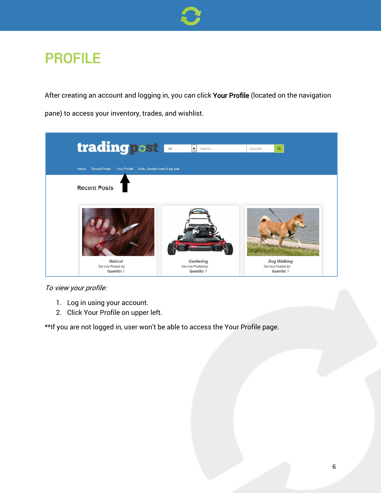

### PROFILE

After creating an account and logging in, you can click Your Profile (located on the navigation pane) to access your inventory, trades, and wishlist.



#### To view your profile:

- 1. Log in using your account.
- 2. Click Your Profile on upper left.

\*\*If you are not logged in, user won't be able to access the Your Profile page.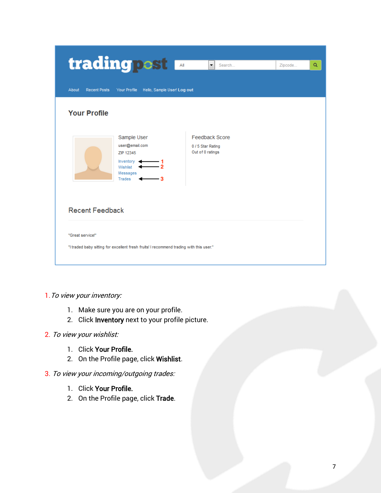| trading post                                                                                                     | ÷<br>Search                                                    | Q<br>Zipcode |
|------------------------------------------------------------------------------------------------------------------|----------------------------------------------------------------|--------------|
| Hello, Sample User! Log out<br>About<br><b>Recent Posts</b><br>Your Profile                                      |                                                                |              |
| <b>Your Profile</b>                                                                                              |                                                                |              |
| Sample User<br>user@email.com<br>ZIP 12345<br>Inventory $\blacktriangleleft$<br>Wishlist <<br>Messages<br>Trades | <b>Feedback Score</b><br>0 / 5 Star Rating<br>Out of 0 ratings |              |
| <b>Recent Feedback</b>                                                                                           |                                                                |              |
| "Great service!"<br>"I traded baby sitting for excellent fresh fruits! I recommend trading with this user."      |                                                                |              |
|                                                                                                                  |                                                                |              |

#### 1. To view your inventory:

- 1. Make sure you are on your profile.
- 2. Click Inventory next to your profile picture.

#### 2. To view your wishlist:

- 1. Click Your Profile.
- 2. On the Profile page, click Wishlist.

#### 3. To view your incoming/outgoing trades:

- 1. Click Your Profile.
- 2. On the Profile page, click Trade.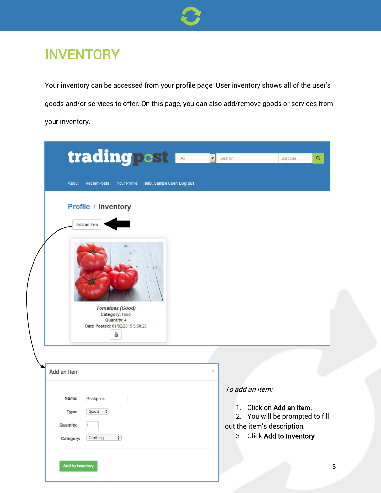

### **INVENTORY**

Your inventory can be accessed from your profile page. User inventory shows all of the user's goods and/or services to offer. On this page, you can also add/remove goods or services from your inventory.

| trading post<br><b>Recent Posts</b><br>Your Profile Hello, Sample User! Log out<br>About                                                     | $\overline{\phantom{0}}$ | Search<br>Q<br>Zipcode                                                                                                                      |
|----------------------------------------------------------------------------------------------------------------------------------------------|--------------------------|---------------------------------------------------------------------------------------------------------------------------------------------|
| Profile / Inventory<br>Add an Item<br><b>Tomatoes (Good)</b><br>Category: Food<br><b>Quantity: 4</b><br>Date Posted: 01/02/2015 5:50:23<br>侖 |                          |                                                                                                                                             |
| Add an Item                                                                                                                                  | ×                        |                                                                                                                                             |
| Name:<br>Backpack<br>$\ddot{\phantom{a}}$<br>Good<br>Type:<br><b>Quantity:</b><br>Clothing<br>$\overline{\bullet}$<br>Category:              |                          | To add an item:<br>1. Click on Add an item.<br>2. You will be prompted to fill<br>out the item's description.<br>3. Click Add to Inventory. |
| Add to Inventory                                                                                                                             |                          | 8                                                                                                                                           |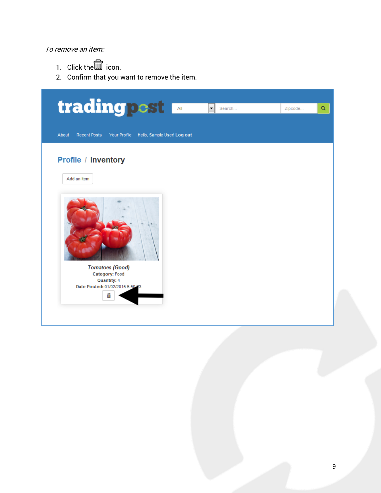#### To remove an item:

- 1. Click the icon.
- 2. Confirm that you want to remove the item.

| trading post                                                   |                             | ۰<br>Search | Zipcode | Q |
|----------------------------------------------------------------|-----------------------------|-------------|---------|---|
| <b>Recent Posts</b><br>About<br>Your Profile                   | Hello, Sample User! Log out |             |         |   |
| Profile / Inventory                                            |                             |             |         |   |
| Add an Item                                                    |                             |             |         |   |
|                                                                |                             |             |         |   |
| <b>Tomatoes (Good)</b><br>Category: Food<br><b>Quantity: 4</b> |                             |             |         |   |
| Date Posted: 01/02/2015 5:50:33<br>蘦                           |                             |             |         |   |
|                                                                |                             |             |         |   |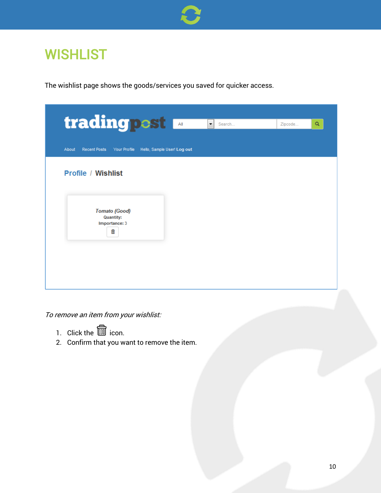

### **WISHLIST**

The wishlist page shows the goods/services you saved for quicker access.

| trading pest                                                             | $\overline{\phantom{a}}$<br>Search | Zipcode | Q |
|--------------------------------------------------------------------------|------------------------------------|---------|---|
|                                                                          |                                    |         |   |
| <b>Recent Posts</b><br>About<br>Your Profile Hello, Sample User! Log out |                                    |         |   |
| <b>Profile / Wishlist</b>                                                |                                    |         |   |
|                                                                          |                                    |         |   |
| <b>Tomato (Good)</b><br><b>Quantity:</b><br>Importance: 3                |                                    |         |   |
| 啬                                                                        |                                    |         |   |
|                                                                          |                                    |         |   |
|                                                                          |                                    |         |   |
|                                                                          |                                    |         |   |

To remove an item from your wishlist:

- 1. Click the  $\widehat{\mathbb{I}\mathbb{I}}$  icon.
- 2. Confirm that you want to remove the item.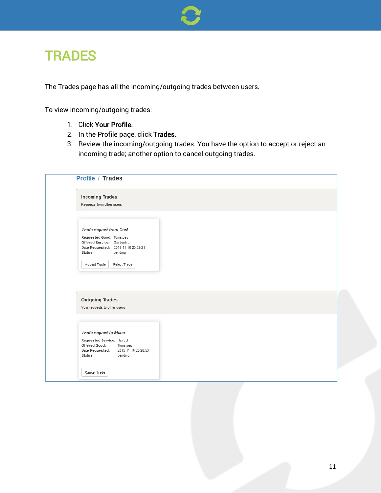

### **TRADES**

The Trades page has all the incoming/outgoing trades between users.

To view incoming/outgoing trades:

- 1. Click Your Profile.
- 2. In the Profile page, click Trades.
- 3. Review the incoming/outgoing trades. You have the option to accept or reject an incoming trade; another option to cancel outgoing trades.

| <b>Incoming Trades</b>                                                            |  |
|-----------------------------------------------------------------------------------|--|
| Requests from other users                                                         |  |
|                                                                                   |  |
| <b>Trade request from Cosi</b>                                                    |  |
| <b>Requested Good: Tomatoes</b>                                                   |  |
| Offered Service: Gardening                                                        |  |
| Date Requested: 2015-11-10 20:29:21                                               |  |
| Status:<br>pending                                                                |  |
| <b>Reject Trade</b><br>Accept Trade                                               |  |
|                                                                                   |  |
|                                                                                   |  |
|                                                                                   |  |
|                                                                                   |  |
|                                                                                   |  |
| <b>Outgoing Trades</b>                                                            |  |
| Your requests to other users                                                      |  |
|                                                                                   |  |
|                                                                                   |  |
|                                                                                   |  |
| <b>Trade request to Mana</b>                                                      |  |
| Requested Service: Haircut                                                        |  |
| <b>Offered Good:</b><br>Tomatoes<br><b>Date Requested:</b><br>2015-11-10 20:28:53 |  |
| Status:<br>pending                                                                |  |
|                                                                                   |  |
| <b>Cancel Trade</b>                                                               |  |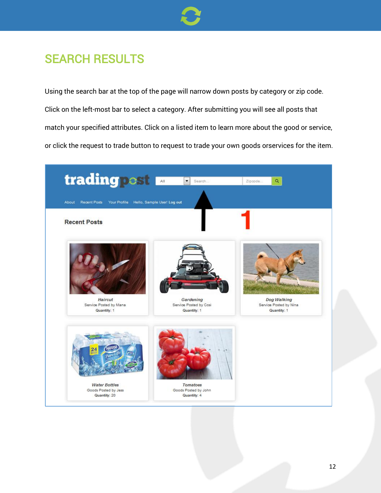

### SEARCH RESULTS

Using the search bar at the top of the page will narrow down posts by category or zip code. Click on the left-most bar to select a category. After submitting you will see all posts that match your specified attributes. Click on a listed item to learn more about the good or service, or click the request to trade button to request to trade your own goods orservices for the item.

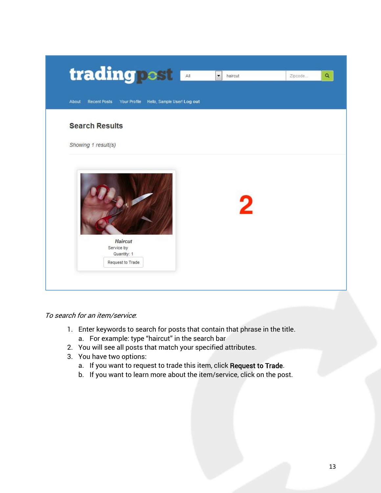

To search for an item/service:

- 1. Enter keywords to search for posts that contain that phrase in the title. a. For example: type "haircut" in the search bar
- 2. You will see all posts that match your specified attributes.
- 3. You have two options:
	- a. If you want to request to trade this item, click Request to Trade.
	- b. If you want to learn more about the item/service, click on the post.